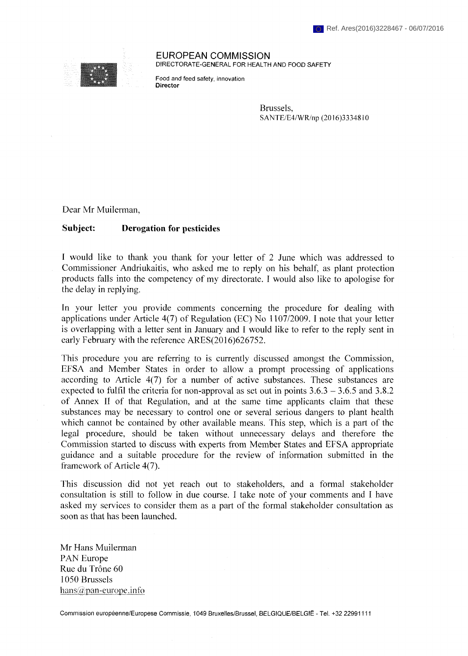

**EUROPEAN COMMISSION** DIRECTORATE-GENERAL FOR HEALTH AND FOOD SAFETY

Food and feed safety, innovation Director

> Brussels, SANTE/E4/WR/np (2016)3334810

Dear Mr Muilerman,

## **Subject: Derogation for pesticides**

I would like to thank you thank for your letter of 2 June which was addressed to Commissioner Andriukaitis, who asked me to reply on his behalf, as plant protection products falls into the competency of my directorate. I would also like to apologise for the delay in replying.

In your letter you provide comments concerning the procedure for dealing with applications under Article 4(7) of Regulation (EC) No 1107/2009. I note that your letter is overlapping with a letter sent in January and I would like to refer to the reply sent in early February with the reference ARES(2016)626752.

This procedure you are referring to is currently discussed amongst the Commission, EFSA and Member States in order to allow a prompt processing of applications according to Article 4(7) for a number of active substances. These substances are expected to fulfil the criteria for non-approval as set out in points  $3.6.3 - 3.6.5$  and  $3.8.2$ of Annex II of that Regulation, and at the same time applicants claim that these substances may be necessary to control one or several serious dangers to plant health which cannot be contained by other available means. This step, which is a part of the legal procedure, should be taken without unnecessary delays and therefore the Commission started to discuss with experts from Member States and EFSA appropriate guidance and a suitable procedure for the review of information submitted in the framework of Article 4(7).

This discussion did not yet reach out to stakeholders, and a formal stakeholder consultation is still to follow in due course. I take note of your comments and I have asked my services to consider them as a part of the formal stakeholder consultation as soon as that has been launched.

Mr Hans Muilerman PAN Europe Rue du Trône 60 1050 Brussels hans $\widehat{\omega}$ pan-europe.info